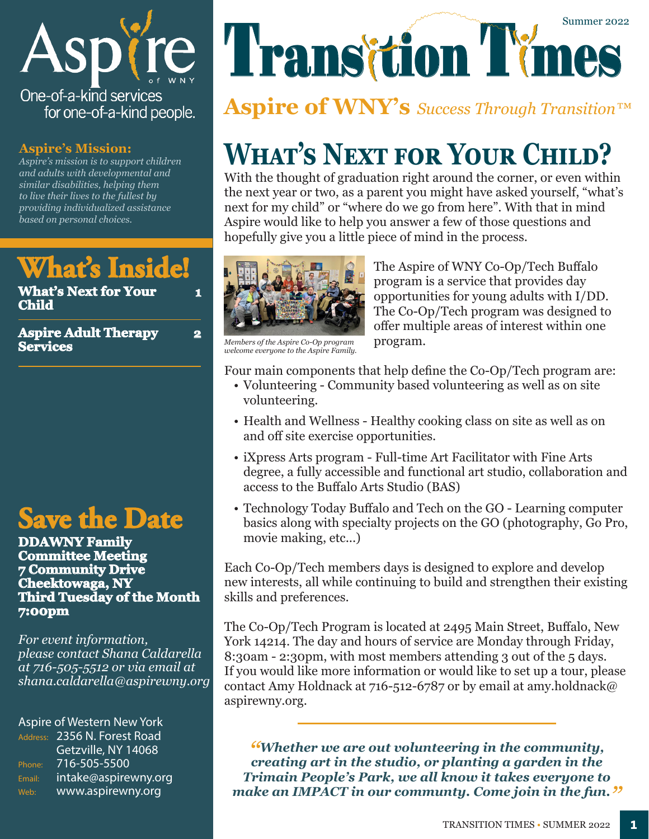

#### **Aspire's Mission:**

*Aspire's mission is to support children and adults with developmental and similar disabilities, helping them to live their lives to the fullest by providing individualized assistance based on personal choices.* 

## **What's Inside!**

**What's Next for Your Child**

**Aspire Adult Therapy Services**

## **Save the Date**

**DDAWNY Family Committee Meeting 7 Community Drive Cheektowaga, NY Third Tuesday of the Month 7:00pm**

*For event information, please contact Shana Caldarella at 716-505-5512 or via email at shana.caldarella@aspirewny.org*

#### Aspire of Western New York

Address: 2356 N. Forest Road Getzville, NY 14068 Phone: 716-505-5500 Email: intake@aspirewny.org Web: www.aspirewny.org

# Transition Times Summer 2022

### **Aspire of WNY's** *Success Through Transition™*

# **What's Next for Your Child?**

With the thought of graduation right around the corner, or even within the next year or two, as a parent you might have asked yourself, "what's next for my child" or "where do we go from here". With that in mind Aspire would like to help you answer a few of those questions and hopefully give you a little piece of mind in the process.



**1**

**2**

The Aspire of WNY Co-Op/Tech Buffalo program is a service that provides day opportunities for young adults with I/DD. The Co-Op/Tech program was designed to offer multiple areas of interest within one program.

*Members of the Aspire Co-Op program welcome everyone to the Aspire Family.*

Four main components that help define the Co-Op/Tech program are:

- Volunteering Community based volunteering as well as on site volunteering.
- Health and Wellness Healthy cooking class on site as well as on and off site exercise opportunities.
- iXpress Arts program Full-time Art Facilitator with Fine Arts degree, a fully accessible and functional art studio, collaboration and access to the Buffalo Arts Studio (BAS)
- Technology Today Buffalo and Tech on the GO Learning computer basics along with specialty projects on the GO (photography, Go Pro, movie making, etc...)

Each Co-Op/Tech members days is designed to explore and develop new interests, all while continuing to build and strengthen their existing skills and preferences.

The Co-Op/Tech Program is located at 2495 Main Street, Buffalo, New York 14214. The day and hours of service are Monday through Friday, 8:30am - 2:30pm, with most members attending 3 out of the 5 days. If you would like more information or would like to set up a tour, please contact Amy Holdnack at 716-512-6787 or by email at amy.holdnack@ aspirewny.org.

*"Whether we are out volunteering in the community, creating art in the studio, or planting a garden in the Trimain People's Park, we all know it takes everyone to make an IMPACT in our communty. Come join in the fun."*